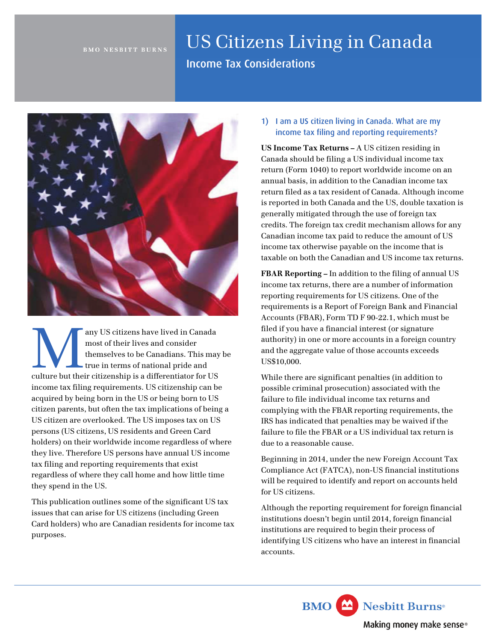#### **BMO NESBITT BURNS**

# US Citizens Living in Canada

Income Tax Considerations



any US citizens have lived in Canada<br>
most of their lives and consider<br>
true in terms of national pride and<br>
culture but their citizenship is a differentiator for US most of their lives and consider themselves to be Canadians. This may be true in terms of national pride and income tax filing requirements. US citizenship can be acquired by being born in the US or being born to US citizen parents, but often the tax implications of being a US citizen are overlooked. The US imposes tax on US persons (US citizens, US residents and Green Card holders) on their worldwide income regardless of where they live. Therefore US persons have annual US income tax filing and reporting requirements that exist regardless of where they call home and how little time they spend in the US.

This publication outlines some of the significant US tax issues that can arise for US citizens (including Green Card holders) who are Canadian residents for income tax purposes.

1) I am a US citizen living in Canada. What are my income tax filing and reporting requirements?

**US Income Tax Returns –** A US citizen residing in Canada should be filing a US individual income tax return (Form 1040) to report worldwide income on an annual basis, in addition to the Canadian income tax return filed as a tax resident of Canada. Although income is reported in both Canada and the US, double taxation is generally mitigated through the use of foreign tax credits. The foreign tax credit mechanism allows for any Canadian income tax paid to reduce the amount of US income tax otherwise payable on the income that is taxable on both the Canadian and US income tax returns.

**FBAR Reporting –** In addition to the filing of annual US income tax returns, there are a number of information reporting requirements for US citizens. One of the requirements is a Report of Foreign Bank and Financial Accounts (FBAR), Form TD F 90-22.1, which must be filed if you have a financial interest (or signature authority) in one or more accounts in a foreign country and the aggregate value of those accounts exceeds US\$10,000.

While there are significant penalties (in addition to possible criminal prosecution) associated with the failure to file individual income tax returns and complying with the FBAR reporting requirements, the IRS has indicated that penalties may be waived if the failure to file the FBAR or a US individual tax return is due to a reasonable cause.

Beginning in 2014, under the new Foreign Account Tax Compliance Act (FATCA), non-US financial institutions will be required to identify and report on accounts held for US citizens.

Although the reporting requirement for foreign financial institutions doesn't begin until 2014, foreign financial institutions are required to begin their process of identifying US citizens who have an interest in financial accounts.

**BMO** Nesbitt Burns<sup>®</sup>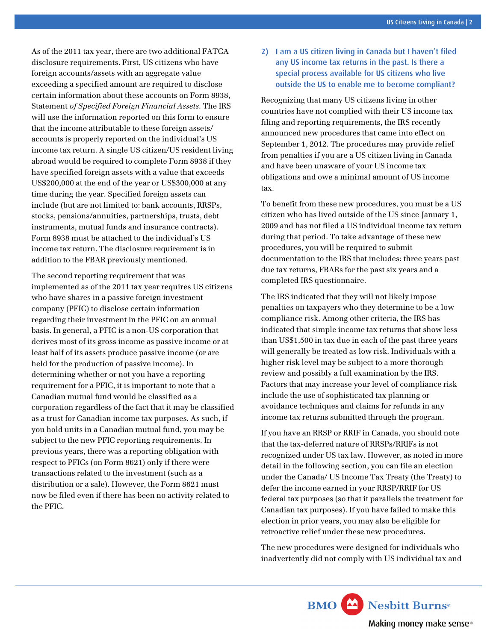As of the 2011 tax year, there are two additional FATCA disclosure requirements. First, US citizens who have foreign accounts/assets with an aggregate value exceeding a specified amount are required to disclose certain information about these accounts on Form 8938, Statement *of Specified Foreign Financial Assets*. The IRS will use the information reported on this form to ensure that the income attributable to these foreign assets/ accounts is properly reported on the individual's US income tax return. A single US citizen/US resident living abroad would be required to complete Form 8938 if they have specified foreign assets with a value that exceeds US\$200,000 at the end of the year or US\$300,000 at any time during the year. Specified foreign assets can include (but are not limited to: bank accounts, RRSPs, stocks, pensions/annuities, partnerships, trusts, debt instruments, mutual funds and insurance contracts). Form 8938 must be attached to the individual's US income tax return. The disclosure requirement is in addition to the FBAR previously mentioned.

The second reporting requirement that was implemented as of the 2011 tax year requires US citizens who have shares in a passive foreign investment company (PFIC) to disclose certain information regarding their investment in the PFIC on an annual basis. In general, a PFIC is a non-US corporation that derives most of its gross income as passive income or at least half of its assets produce passive income (or are held for the production of passive income). In determining whether or not you have a reporting requirement for a PFIC, it is important to note that a Canadian mutual fund would be classified as a corporation regardless of the fact that it may be classified as a trust for Canadian income tax purposes. As such, if you hold units in a Canadian mutual fund, you may be subject to the new PFIC reporting requirements. In previous years, there was a reporting obligation with respect to PFICs (on Form 8621) only if there were transactions related to the investment (such as a distribution or a sale). However, the Form 8621 must now be filed even if there has been no activity related to the PFIC.

## 2) I am a US citizen living in Canada but I haven't filed any US income tax returns in the past. Is there a special process available for US citizens who live outside the US to enable me to become compliant?

Recognizing that many US citizens living in other countries have not complied with their US income tax filing and reporting requirements, the IRS recently announced new procedures that came into effect on September 1, 2012. The procedures may provide relief from penalties if you are a US citizen living in Canada and have been unaware of your US income tax obligations and owe a minimal amount of US income tax.

To benefit from these new procedures, you must be a US citizen who has lived outside of the US since January 1, 2009 and has not filed a US individual income tax return during that period. To take advantage of these new procedures, you will be required to submit documentation to the IRS that includes: three years past due tax returns, FBARs for the past six years and a completed IRS questionnaire.

The IRS indicated that they will not likely impose penalties on taxpayers who they determine to be a low compliance risk. Among other criteria, the IRS has indicated that simple income tax returns that show less than US\$1,500 in tax due in each of the past three years will generally be treated as low risk. Individuals with a higher risk level may be subject to a more thorough review and possibly a full examination by the IRS. Factors that may increase your level of compliance risk include the use of sophisticated tax planning or avoidance techniques and claims for refunds in any income tax returns submitted through the program.

If you have an RRSP or RRIF in Canada, you should note that the tax-deferred nature of RRSPs/RRIFs is not recognized under US tax law. However, as noted in more detail in the following section, you can file an election under the Canada/ US Income Tax Treaty (the Treaty) to defer the income earned in your RRSP/RRIF for US federal tax purposes (so that it parallels the treatment for Canadian tax purposes). If you have failed to make this election in prior years, you may also be eligible for retroactive relief under these new procedures.

The new procedures were designed for individuals who inadvertently did not comply with US individual tax and

**BMO** Nesbitt Burns<sup>®</sup>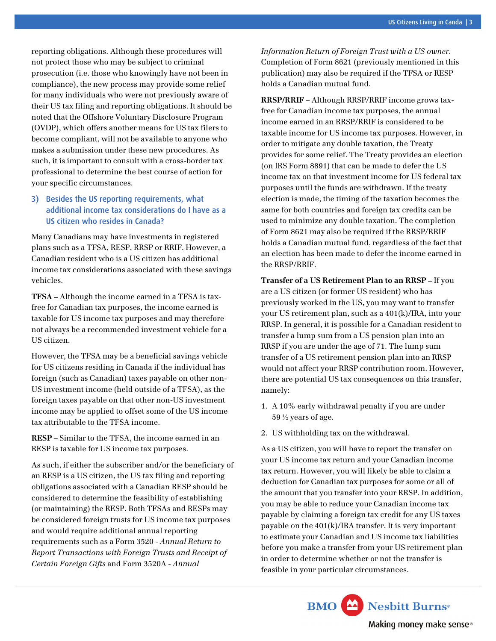reporting obligations. Although these procedures will not protect those who may be subject to criminal prosecution (i.e. those who knowingly have not been in compliance), the new process may provide some relief for many individuals who were not previously aware of their US tax filing and reporting obligations. It should be noted that the Offshore Voluntary Disclosure Program (OVDP), which offers another means for US tax filers to become compliant, will not be available to anyone who makes a submission under these new procedures. As such, it is important to consult with a cross-border tax professional to determine the best course of action for your specific circumstances.

#### 3) Besides the US reporting requirements, what additional income tax considerations do I have as a US citizen who resides in Canada?

Many Canadians may have investments in registered plans such as a TFSA, RESP, RRSP or RRIF. However, a Canadian resident who is a US citizen has additional income tax considerations associated with these savings vehicles.

**TFSA –** Although the income earned in a TFSA is taxfree for Canadian tax purposes, the income earned is taxable for US income tax purposes and may therefore not always be a recommended investment vehicle for a US citizen.

However, the TFSA may be a beneficial savings vehicle for US citizens residing in Canada if the individual has foreign (such as Canadian) taxes payable on other non-US investment income (held outside of a TFSA), as the foreign taxes payable on that other non-US investment income may be applied to offset some of the US income tax attributable to the TFSA income.

**RESP –** Similar to the TFSA, the income earned in an RESP is taxable for US income tax purposes.

As such, if either the subscriber and/or the beneficiary of an RESP is a US citizen, the US tax filing and reporting obligations associated with a Canadian RESP should be considered to determine the feasibility of establishing (or maintaining) the RESP. Both TFSAs and RESPs may be considered foreign trusts for US income tax purposes and would require additional annual reporting requirements such as a Form 3520 - *Annual Return to Report Transactions with Foreign Trusts and Receipt of Certain Foreign Gifts* and Form 3520A - *Annual* 

*Information Return of Foreign Trust with a US owner*. Completion of Form 8621 (previously mentioned in this publication) may also be required if the TFSA or RESP holds a Canadian mutual fund.

**RRSP/RRIF –** Although RRSP/RRIF income grows taxfree for Canadian income tax purposes, the annual income earned in an RRSP/RRIF is considered to be taxable income for US income tax purposes. However, in order to mitigate any double taxation, the Treaty provides for some relief. The Treaty provides an election (on IRS Form 8891) that can be made to defer the US income tax on that investment income for US federal tax purposes until the funds are withdrawn. If the treaty election is made, the timing of the taxation becomes the same for both countries and foreign tax credits can be used to minimize any double taxation. The completion of Form 8621 may also be required if the RRSP/RRIF holds a Canadian mutual fund, regardless of the fact that an election has been made to defer the income earned in the RRSP/RRIF.

**Transfer of a US Retirement Plan to an RRSP –** If you are a US citizen (or former US resident) who has previously worked in the US, you may want to transfer your US retirement plan, such as a 401(k)/IRA, into your RRSP. In general, it is possible for a Canadian resident to transfer a lump sum from a US pension plan into an RRSP if you are under the age of 71. The lump sum transfer of a US retirement pension plan into an RRSP would not affect your RRSP contribution room. However, there are potential US tax consequences on this transfer, namely:

- 1. A 10% early withdrawal penalty if you are under 59 ½ years of age.
- 2. US withholding tax on the withdrawal.

As a US citizen, you will have to report the transfer on your US income tax return and your Canadian income tax return. However, you will likely be able to claim a deduction for Canadian tax purposes for some or all of the amount that you transfer into your RRSP. In addition, you may be able to reduce your Canadian income tax payable by claiming a foreign tax credit for any US taxes payable on the 401(k)/IRA transfer. It is very important to estimate your Canadian and US income tax liabilities before you make a transfer from your US retirement plan in order to determine whether or not the transfer is feasible in your particular circumstances.

**BMO** Nesbitt Burns<sup>®</sup>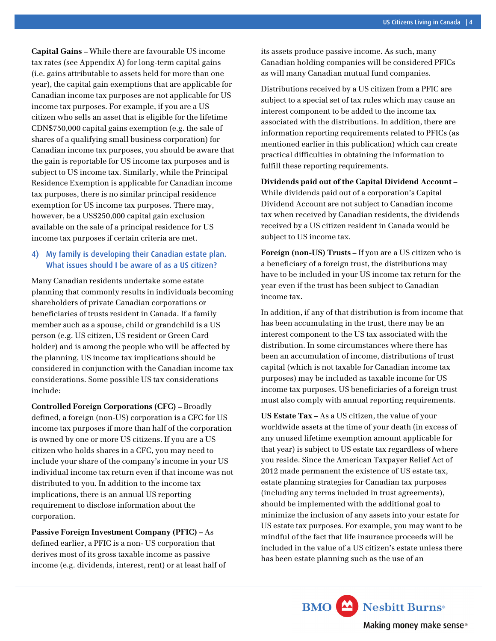**Capital Gains –** While there are favourable US income tax rates (see Appendix A) for long-term capital gains (i.e. gains attributable to assets held for more than one year), the capital gain exemptions that are applicable for Canadian income tax purposes are not applicable for US income tax purposes. For example, if you are a US citizen who sells an asset that is eligible for the lifetime CDN\$750,000 capital gains exemption (e.g. the sale of shares of a qualifying small business corporation) for Canadian income tax purposes, you should be aware that the gain is reportable for US income tax purposes and is subject to US income tax. Similarly, while the Principal Residence Exemption is applicable for Canadian income tax purposes, there is no similar principal residence exemption for US income tax purposes. There may, however, be a US\$250,000 capital gain exclusion available on the sale of a principal residence for US income tax purposes if certain criteria are met.

## 4) My family is developing their Canadian estate plan. What issues should I be aware of as a US citizen?

Many Canadian residents undertake some estate planning that commonly results in individuals becoming shareholders of private Canadian corporations or beneficiaries of trusts resident in Canada. If a family member such as a spouse, child or grandchild is a US person (e.g. US citizen, US resident or Green Card holder) and is among the people who will be affected by the planning, US income tax implications should be considered in conjunction with the Canadian income tax considerations. Some possible US tax considerations include:

**Controlled Foreign Corporations (CFC) –** Broadly defined, a foreign (non-US) corporation is a CFC for US income tax purposes if more than half of the corporation is owned by one or more US citizens. If you are a US citizen who holds shares in a CFC, you may need to include your share of the company's income in your US individual income tax return even if that income was not distributed to you. In addition to the income tax implications, there is an annual US reporting requirement to disclose information about the corporation.

**Passive Foreign Investment Company (PFIC) –** As defined earlier, a PFIC is a non- US corporation that derives most of its gross taxable income as passive income (e.g. dividends, interest, rent) or at least half of its assets produce passive income. As such, many Canadian holding companies will be considered PFICs as will many Canadian mutual fund companies.

Distributions received by a US citizen from a PFIC are subject to a special set of tax rules which may cause an interest component to be added to the income tax associated with the distributions. In addition, there are information reporting requirements related to PFICs (as mentioned earlier in this publication) which can create practical difficulties in obtaining the information to fulfill these reporting requirements.

**Dividends paid out of the Capital Dividend Account –**  While dividends paid out of a corporation's Capital Dividend Account are not subject to Canadian income tax when received by Canadian residents, the dividends received by a US citizen resident in Canada would be subject to US income tax.

**Foreign (non-US) Trusts –** If you are a US citizen who is a beneficiary of a foreign trust, the distributions may have to be included in your US income tax return for the year even if the trust has been subject to Canadian income tax.

In addition, if any of that distribution is from income that has been accumulating in the trust, there may be an interest component to the US tax associated with the distribution. In some circumstances where there has been an accumulation of income, distributions of trust capital (which is not taxable for Canadian income tax purposes) may be included as taxable income for US income tax purposes. US beneficiaries of a foreign trust must also comply with annual reporting requirements.

**US Estate Tax –** As a US citizen, the value of your worldwide assets at the time of your death (in excess of any unused lifetime exemption amount applicable for that year) is subject to US estate tax regardless of where you reside. Since the American Taxpayer Relief Act of 2012 made permanent the existence of US estate tax, estate planning strategies for Canadian tax purposes (including any terms included in trust agreements), should be implemented with the additional goal to minimize the inclusion of any assets into your estate for US estate tax purposes. For example, you may want to be mindful of the fact that life insurance proceeds will be included in the value of a US citizen's estate unless there has been estate planning such as the use of an

**BMO** Nesbitt Burns<sup>®</sup>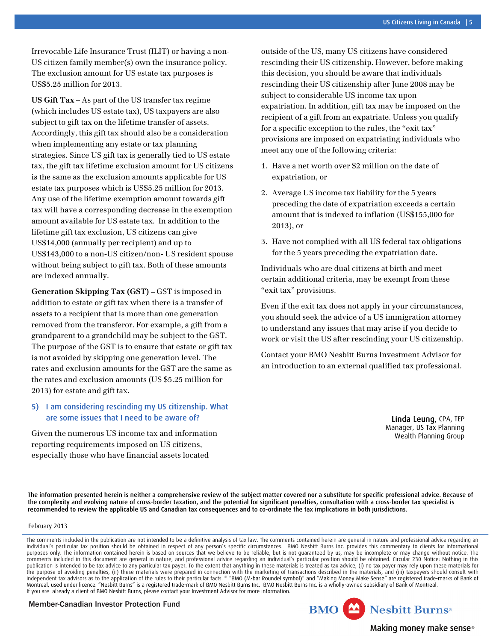Irrevocable Life Insurance Trust (ILIT) or having a non-US citizen family member(s) own the insurance policy. The exclusion amount for US estate tax purposes is US\$5.25 million for 2013.

**US Gift Tax –** As part of the US transfer tax regime (which includes US estate tax), US taxpayers are also subject to gift tax on the lifetime transfer of assets. Accordingly, this gift tax should also be a consideration when implementing any estate or tax planning strategies. Since US gift tax is generally tied to US estate tax, the gift tax lifetime exclusion amount for US citizens is the same as the exclusion amounts applicable for US estate tax purposes which is US\$5.25 million for 2013. Any use of the lifetime exemption amount towards gift tax will have a corresponding decrease in the exemption amount available for US estate tax. In addition to the lifetime gift tax exclusion, US citizens can give US\$14,000 (annually per recipient) and up to US\$143,000 to a non-US citizen/non- US resident spouse without being subject to gift tax. Both of these amounts are indexed annually.

**Generation Skipping Tax (GST) –** GST is imposed in addition to estate or gift tax when there is a transfer of assets to a recipient that is more than one generation removed from the transferor. For example, a gift from a grandparent to a grandchild may be subject to the GST. The purpose of the GST is to ensure that estate or gift tax is not avoided by skipping one generation level. The rates and exclusion amounts for the GST are the same as the rates and exclusion amounts (US \$5.25 million for 2013) for estate and gift tax.

#### 5) I am considering rescinding my US citizenship. What are some issues that I need to be aware of?

Given the numerous US income tax and information reporting requirements imposed on US citizens, especially those who have financial assets located

outside of the US, many US citizens have considered rescinding their US citizenship. However, before making this decision, you should be aware that individuals rescinding their US citizenship after June 2008 may be subject to considerable US income tax upon expatriation. In addition, gift tax may be imposed on the recipient of a gift from an expatriate. Unless you qualify for a specific exception to the rules, the "exit tax" provisions are imposed on expatriating individuals who meet any one of the following criteria:

- 1. Have a net worth over \$2 million on the date of expatriation, or
- 2. Average US income tax liability for the 5 years preceding the date of expatriation exceeds a certain amount that is indexed to inflation (US\$155,000 for 2013), or
- 3. Have not complied with all US federal tax obligations for the 5 years preceding the expatriation date.

Individuals who are dual citizens at birth and meet certain additional criteria, may be exempt from these "exit tax" provisions.

Even if the exit tax does not apply in your circumstances, you should seek the advice of a US immigration attorney to understand any issues that may arise if you decide to work or visit the US after rescinding your US citizenship.

Contact your BMO Nesbitt Burns Investment Advisor for an introduction to an external qualified tax professional.

> Linda Leung, CPA, TEP Manager, US Tax Planning Wealth Planning Group

The information presented herein is neither a comprehensive review of the subject matter covered nor a substitute for specific professional advice. Because of the complexity and evolving nature of cross-border taxation, and the potential for significant penalties, consultation with a cross-border tax specialist is recommended to review the applicable US and Canadian tax consequences and to co-ordinate the tax implications in both jurisdictions.

February 2013

The comments included in the publication are not intended to be a definitive analysis of tax law. The comments contained herein are general in nature and professional advice regarding an individual's particular tax position should be obtained in respect of any person's specific circumstances. BMO Nesbitt Burns Inc. provides this commentary to clients for informational purposes only. The information contained herein is based on sources that we believe to be reliable, but is not guaranteed by us, may be incomplete or may change without notice. The comments included in this document are general in nature, and professional advice regarding an individual's particular position should be obtained. Circular 230 Notice: Nothing in this publication is intended to be tax advice to any particular tax payer. To the extent that anything in these materials is treated as tax advice, (i) no tax payer may rely upon these materials for the purpose of avoiding penalties, (ii) these materials were prepared in connection with the marketing of transactions described in the materials, and (iii) taxpayers should consult with<br>independent tax advisors as to the Montreal, used under licence. "Nesbitt Burns" is a registered trade-mark of BMO Nesbitt Burns Inc. BMO Nesbitt Burns Inc. is a wholly-owned subsidiary of Bank of Montreal. If you are already a client of BMO Nesbitt Burns, please contact your Investment Advisor for more information.

**Member-Canadian Investor Protection Fund**